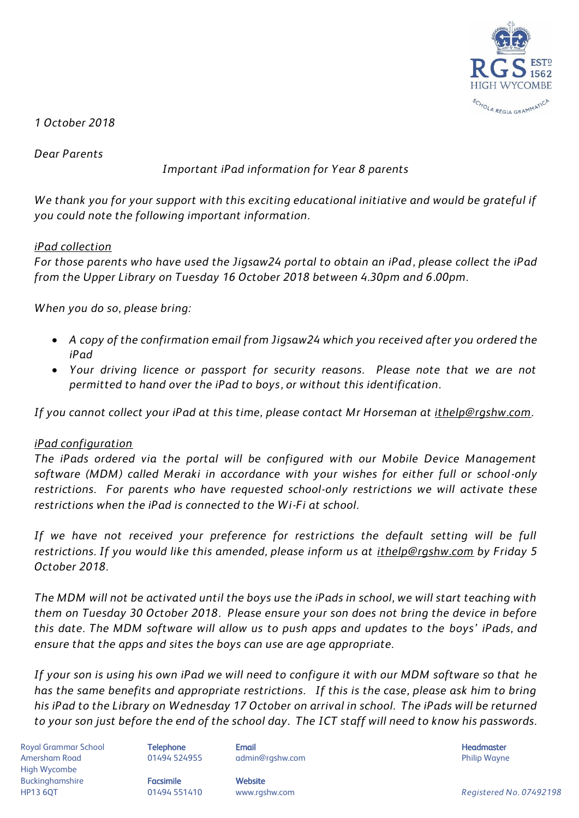

*1 October 2018*

*Dear Parents*

*Important iPad information for Year 8 parents*

*We thank you for your support with this exciting educational initiative and would be grateful if you could note the following important information.*

## *iPad collection*

*For those parents who have used the Jigsaw24 portal to obtain an iPad, please collect the iPad from the Upper Library on Tuesday 16 October 2018 between 4.30pm and 6.00pm.* 

*When you do so, please bring:*

- *A copy of the confirmation email from Jigsaw24 which you received after you ordered the iPad*
- *Your driving licence or passport for security reasons. Please note that we are not permitted to hand over the iPad to boys, or without this identification.*

*If you cannot collect your iPad at this time, please contact Mr Horseman at [ithelp@rgshw.com.](mailto:ithelp@rgshw.com)* 

## *iPad configuration*

*The iPads ordered via the portal will be configured with our Mobile Device Management software (MDM) called Meraki in accordance with your wishes for either full or school-only restrictions. For parents who have requested school-only restrictions we will activate these restrictions when the iPad is connected to the Wi-Fi at school.* 

*If we have not received your preference for restrictions the default setting will be full restrictions. If you would like this amended, please inform us at [ithelp@rgshw.com](mailto:ithelp@rgshw.com) by Friday 5 October 2018.*

*The MDM will not be activated until the boys use the iPads in school, we will start teaching with them on Tuesday 30 October 2018. Please ensure your son does not bring the device in before this date. The MDM software will allow us to push apps and updates to the boys' iPads, and ensure that the apps and sites the boys can use are age appropriate.* 

*If your son is using his own iPad we will need to configure it with our MDM software so that he has the same benefits and appropriate restrictions. If this is the case, please ask him to bring his iPad to the Library on Wednesday 17 October on arrival in school. The iPads will be returned to your son just before the end of the school day. The ICT staff will need to know his passwords.*

Royal Grammar School **Telephone Email Headmaster Email Headmaster Headmaster Headmaster** Amersham Road **8. Mart 201494 524955** admin@rgshw.com **COVID Philip Wayne** Philip Wayne High Wycombe Buckinghamshire **Facsimile Facsimile** Website

HP13 6QT 01494 551410 www.rgshw.com *Registered No. 07492198*